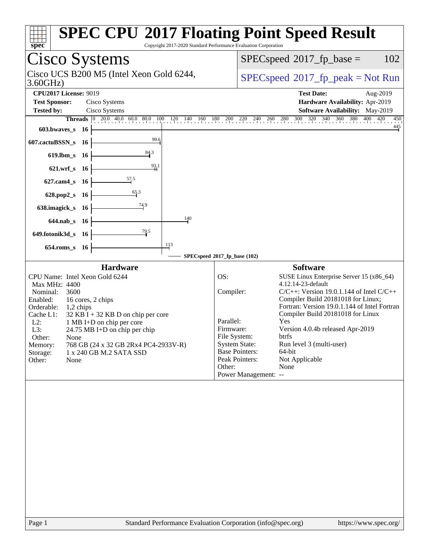| Copyright 2017-2020 Standard Performance Evaluation Corporation<br>spec                                                                                                                                                                                                                                                                                                                                                | <b>SPEC CPU®2017 Floating Point Speed Result</b>                                                                                                                                                                                                                                                                                                                                                                                                                                                                                                            |
|------------------------------------------------------------------------------------------------------------------------------------------------------------------------------------------------------------------------------------------------------------------------------------------------------------------------------------------------------------------------------------------------------------------------|-------------------------------------------------------------------------------------------------------------------------------------------------------------------------------------------------------------------------------------------------------------------------------------------------------------------------------------------------------------------------------------------------------------------------------------------------------------------------------------------------------------------------------------------------------------|
| Cisco Systems                                                                                                                                                                                                                                                                                                                                                                                                          | $SPEC speed^{\circ}2017$ _fp_base =<br>102                                                                                                                                                                                                                                                                                                                                                                                                                                                                                                                  |
| Cisco UCS B200 M5 (Intel Xeon Gold 6244,<br>3.60GHz                                                                                                                                                                                                                                                                                                                                                                    | $SPEC speed^{\circ}2017\_fp\_peak = Not Run$                                                                                                                                                                                                                                                                                                                                                                                                                                                                                                                |
| <b>CPU2017 License: 9019</b><br><b>Test Sponsor:</b><br>Cisco Systems<br><b>Tested by:</b><br>Cisco Systems<br><b>Threads</b> $\begin{bmatrix} 0 & 20.0 & 40.0 & 60.0 & 80.0 & 100 \end{bmatrix}$<br>$120$ $140$ $160$<br>180<br>603.bwaves_s<br>- 16                                                                                                                                                                  | <b>Test Date:</b><br>Aug-2019<br>Hardware Availability: Apr-2019<br>Software Availability: May-2019<br>280 300 320 340 360 380 400<br>400 420<br>$200$ $220$ $240$<br>$^{260}_{11}$<br>450<br>$\frac{445}{1}$                                                                                                                                                                                                                                                                                                                                               |
| 99.6<br>607.cactuBSSN_s 16<br>84.3<br>619.lbm_s 16<br>$\frac{93}{4}$ <sup>1</sup><br>621.wrf_s 16<br>$\frac{57.5}{4}$<br>$627$ .cam $4_s$<br>- 16<br>$\frac{65.3}{9}$<br>628.pop2_s 16<br><u>74</u> .9<br>638.imagick_s 16<br>$140\,$<br>644.nab s 16<br>$\frac{79.5}{4}$<br>649.fotonik3d_s 16                                                                                                                        |                                                                                                                                                                                                                                                                                                                                                                                                                                                                                                                                                             |
| 113<br>654.roms_s 16                                                                                                                                                                                                                                                                                                                                                                                                   | SPECspeed®2017_fp_base (102)                                                                                                                                                                                                                                                                                                                                                                                                                                                                                                                                |
| <b>Hardware</b><br>CPU Name: Intel Xeon Gold 6244<br>Max MHz: 4400<br>Nominal:<br>3600<br>Enabled:<br>16 cores, 2 chips<br>Orderable:<br>$1,2$ chips<br>Cache L1:<br>$32$ KB I + 32 KB D on chip per core<br>$L2$ :<br>1 MB I+D on chip per core<br>L3:<br>24.75 MB I+D on chip per chip<br>Other:<br>None<br>768 GB (24 x 32 GB 2Rx4 PC4-2933V-R)<br>Memory:<br>Storage:<br>1 x 240 GB M.2 SATA SSD<br>Other:<br>None | <b>Software</b><br>OS:<br>SUSE Linux Enterprise Server 15 (x86_64)<br>4.12.14-23-default<br>Compiler:<br>$C/C++$ : Version 19.0.1.144 of Intel $C/C++$<br>Compiler Build 20181018 for Linux;<br>Fortran: Version 19.0.1.144 of Intel Fortran<br>Compiler Build 20181018 for Linux<br>Parallel:<br>Yes<br>Firmware:<br>Version 4.0.4b released Apr-2019<br>File System:<br><b>btrfs</b><br>Run level 3 (multi-user)<br><b>System State:</b><br><b>Base Pointers:</b><br>64-bit<br>Not Applicable<br>Peak Pointers:<br>None<br>Other:<br>Power Management: -- |
| Standard Performance Evaluation Corporation (info@spec.org)<br>Page 1                                                                                                                                                                                                                                                                                                                                                  | https://www.spec.org/                                                                                                                                                                                                                                                                                                                                                                                                                                                                                                                                       |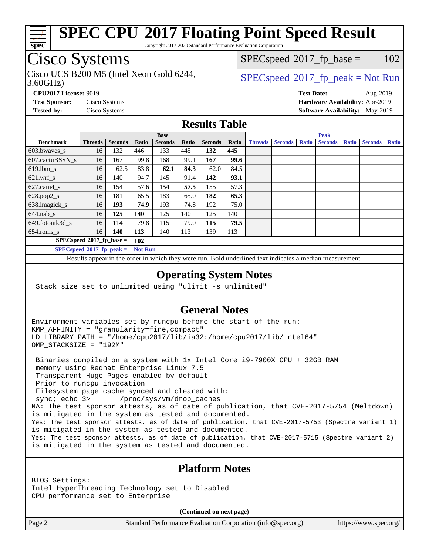

Copyright 2017-2020 Standard Performance Evaluation Corporation

# Cisco Systems

3.60GHz) Cisco UCS B200 M5 (Intel Xeon Gold 6244,  $SPECspeed^{\circ}2017\_fp\_peak = Not Run$  $SPECspeed^{\circ}2017\_fp\_peak = Not Run$ 

 $SPECspeed^{\circledcirc}2017_fp\_base = 102$  $SPECspeed^{\circledcirc}2017_fp\_base = 102$ 

**[CPU2017 License:](http://www.spec.org/auto/cpu2017/Docs/result-fields.html#CPU2017License)** 9019 **[Test Date:](http://www.spec.org/auto/cpu2017/Docs/result-fields.html#TestDate)** Aug-2019 **[Test Sponsor:](http://www.spec.org/auto/cpu2017/Docs/result-fields.html#TestSponsor)** Cisco Systems **[Hardware Availability:](http://www.spec.org/auto/cpu2017/Docs/result-fields.html#HardwareAvailability)** Apr-2019 **[Tested by:](http://www.spec.org/auto/cpu2017/Docs/result-fields.html#Testedby)** Cisco Systems **[Software Availability:](http://www.spec.org/auto/cpu2017/Docs/result-fields.html#SoftwareAvailability)** May-2019

## **[Results Table](http://www.spec.org/auto/cpu2017/Docs/result-fields.html#ResultsTable)**

|                             | <b>Base</b>    |                |                |                |       |                | <b>Peak</b> |                |                |              |                |              |                |              |
|-----------------------------|----------------|----------------|----------------|----------------|-------|----------------|-------------|----------------|----------------|--------------|----------------|--------------|----------------|--------------|
| <b>Benchmark</b>            | <b>Threads</b> | <b>Seconds</b> | Ratio          | <b>Seconds</b> | Ratio | <b>Seconds</b> | Ratio       | <b>Threads</b> | <b>Seconds</b> | <b>Ratio</b> | <b>Seconds</b> | <b>Ratio</b> | <b>Seconds</b> | <b>Ratio</b> |
| 603.bwayes_s                | 16             | 132            | 446            | 133            | 445   | 132            | 445         |                |                |              |                |              |                |              |
| 607.cactuBSSN s             | 16             | 167            | 99.8           | 168            | 99.1  | 167            | 99.6        |                |                |              |                |              |                |              |
| $619.$ lbm s                | 16             | 62.5           | 83.8           | 62.1           | 84.3  | 62.0           | 84.5        |                |                |              |                |              |                |              |
| $621.wrf$ s                 | 16             | 140            | 94.7           | 145            | 91.4  | 142            | 93.1        |                |                |              |                |              |                |              |
| $627$ .cam4 s               | 16             | 154            | 57.6           | 154            | 57.5  | 155            | 57.3        |                |                |              |                |              |                |              |
| $628.pop2_s$                | 16             | 181            | 65.5           | 183            | 65.0  | 182            | 65.3        |                |                |              |                |              |                |              |
| 638.imagick_s               | 16             | <u> 193</u>    | 74.9           | 193            | 74.8  | 192            | 75.0        |                |                |              |                |              |                |              |
| $644$ .nab s                | 16             | <u>125</u>     | <b>140</b>     | 125            | 140   | 125            | 140         |                |                |              |                |              |                |              |
| 649.fotonik3d s             | 16             | 114            | 79.8           | 115            | 79.0  | 115            | 79.5        |                |                |              |                |              |                |              |
| $654$ .roms s               | 16             | 140            | 113            | 140            | 113   | 139            | 113         |                |                |              |                |              |                |              |
| $SPECspeed*2017_fp\_base =$ |                |                | 102            |                |       |                |             |                |                |              |                |              |                |              |
| $SPECspeed*2017$ fp peak =  |                |                | <b>Not Run</b> |                |       |                |             |                |                |              |                |              |                |              |

Results appear in the [order in which they were run.](http://www.spec.org/auto/cpu2017/Docs/result-fields.html#RunOrder) Bold underlined text [indicates a median measurement](http://www.spec.org/auto/cpu2017/Docs/result-fields.html#Median).

### **[Operating System Notes](http://www.spec.org/auto/cpu2017/Docs/result-fields.html#OperatingSystemNotes)**

Stack size set to unlimited using "ulimit -s unlimited"

## **[General Notes](http://www.spec.org/auto/cpu2017/Docs/result-fields.html#GeneralNotes)**

Environment variables set by runcpu before the start of the run: KMP\_AFFINITY = "granularity=fine,compact" LD\_LIBRARY\_PATH = "/home/cpu2017/lib/ia32:/home/cpu2017/lib/intel64" OMP\_STACKSIZE = "192M"

 Binaries compiled on a system with 1x Intel Core i9-7900X CPU + 32GB RAM memory using Redhat Enterprise Linux 7.5 Transparent Huge Pages enabled by default Prior to runcpu invocation Filesystem page cache synced and cleared with: sync; echo 3> /proc/sys/vm/drop\_caches NA: The test sponsor attests, as of date of publication, that CVE-2017-5754 (Meltdown) is mitigated in the system as tested and documented. Yes: The test sponsor attests, as of date of publication, that CVE-2017-5753 (Spectre variant 1) is mitigated in the system as tested and documented. Yes: The test sponsor attests, as of date of publication, that CVE-2017-5715 (Spectre variant 2) is mitigated in the system as tested and documented.

## **[Platform Notes](http://www.spec.org/auto/cpu2017/Docs/result-fields.html#PlatformNotes)**

BIOS Settings: Intel HyperThreading Technology set to Disabled CPU performance set to Enterprise

**(Continued on next page)**

Page 2 Standard Performance Evaluation Corporation [\(info@spec.org\)](mailto:info@spec.org) <https://www.spec.org/>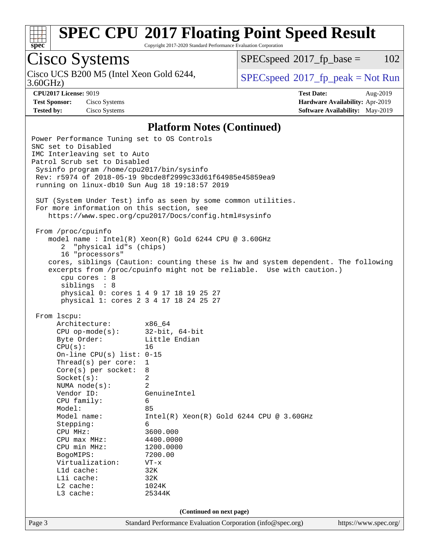

Copyright 2017-2020 Standard Performance Evaluation Corporation

## Cisco Systems

Cisco UCS B200 M5 (Intel Xeon Gold 6244, 3.60GHz)

 $SPECspeed^{\circ}2017\_fp\_base = 102$  $SPECspeed^{\circ}2017\_fp\_base = 102$ 

 $SPEC speed^{\circ}2017\_fp\_peak = Not Run$ 

**[Test Sponsor:](http://www.spec.org/auto/cpu2017/Docs/result-fields.html#TestSponsor)** Cisco Systems **[Hardware Availability:](http://www.spec.org/auto/cpu2017/Docs/result-fields.html#HardwareAvailability)** Apr-2019

**[CPU2017 License:](http://www.spec.org/auto/cpu2017/Docs/result-fields.html#CPU2017License)** 9019 **[Test Date:](http://www.spec.org/auto/cpu2017/Docs/result-fields.html#TestDate)** Aug-2019 **[Tested by:](http://www.spec.org/auto/cpu2017/Docs/result-fields.html#Testedby)** Cisco Systems **[Software Availability:](http://www.spec.org/auto/cpu2017/Docs/result-fields.html#SoftwareAvailability)** May-2019

### **[Platform Notes \(Continued\)](http://www.spec.org/auto/cpu2017/Docs/result-fields.html#PlatformNotes)**

Page 3 Standard Performance Evaluation Corporation [\(info@spec.org\)](mailto:info@spec.org) <https://www.spec.org/> Power Performance Tuning set to OS Controls SNC set to Disabled IMC Interleaving set to Auto Patrol Scrub set to Disabled Sysinfo program /home/cpu2017/bin/sysinfo Rev: r5974 of 2018-05-19 9bcde8f2999c33d61f64985e45859ea9 running on linux-db10 Sun Aug 18 19:18:57 2019 SUT (System Under Test) info as seen by some common utilities. For more information on this section, see <https://www.spec.org/cpu2017/Docs/config.html#sysinfo> From /proc/cpuinfo model name : Intel(R) Xeon(R) Gold 6244 CPU @ 3.60GHz 2 "physical id"s (chips) 16 "processors" cores, siblings (Caution: counting these is hw and system dependent. The following excerpts from /proc/cpuinfo might not be reliable. Use with caution.) cpu cores : 8 siblings : 8 physical 0: cores 1 4 9 17 18 19 25 27 physical 1: cores 2 3 4 17 18 24 25 27 From lscpu: Architecture: x86\_64 CPU op-mode(s): 32-bit, 64-bit Byte Order: Little Endian  $CPU(s):$  16 On-line CPU(s) list: 0-15 Thread(s) per core: 1 Core(s) per socket: 8 Socket(s): 2 NUMA node(s): 2 Vendor ID: GenuineIntel CPU family: 6 Model: 85 Model name: Intel(R) Xeon(R) Gold 6244 CPU @ 3.60GHz Stepping: 6 CPU MHz: 3600.000 CPU max MHz: 4400.0000<br>CPU min MHz: 1200.0000 CPU min MHz: BogoMIPS: 7200.00 Virtualization: VT-x L1d cache: 32K<br>
L1i cache: 32K  $L1i$  cache: L2 cache: 1024K L3 cache: 25344K **(Continued on next page)**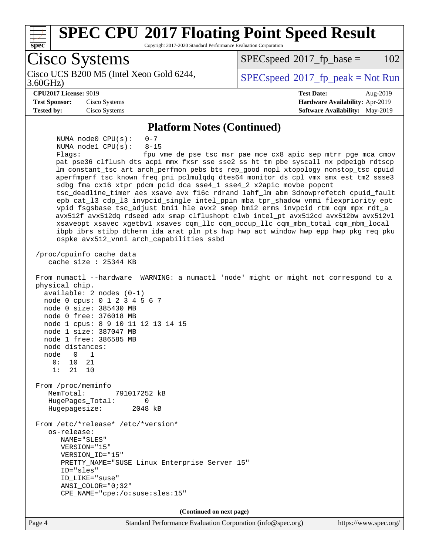

Page 4 Standard Performance Evaluation Corporation [\(info@spec.org\)](mailto:info@spec.org) <https://www.spec.org/>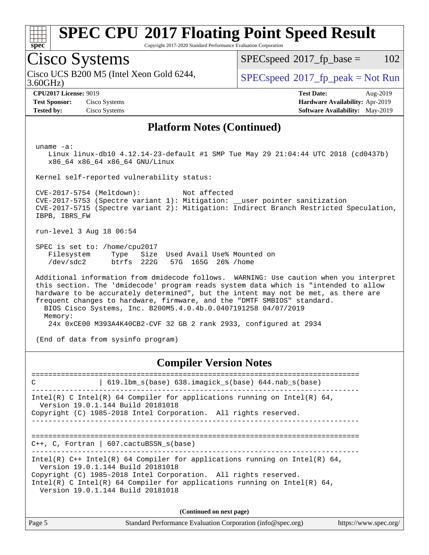

Copyright 2017-2020 Standard Performance Evaluation Corporation

## Cisco Systems

3.60GHz) Cisco UCS B200 M5 (Intel Xeon Gold 6244,  $SPECspeed^{\circ}2017\_fp\_peak = Not Run$  $SPECspeed^{\circ}2017\_fp\_peak = Not Run$ 

 $SPECspeed^{\circledcirc}2017_fp\_base = 102$  $SPECspeed^{\circledcirc}2017_fp\_base = 102$ 

**[Tested by:](http://www.spec.org/auto/cpu2017/Docs/result-fields.html#Testedby)** Cisco Systems **[Software Availability:](http://www.spec.org/auto/cpu2017/Docs/result-fields.html#SoftwareAvailability)** May-2019

**[CPU2017 License:](http://www.spec.org/auto/cpu2017/Docs/result-fields.html#CPU2017License)** 9019 **[Test Date:](http://www.spec.org/auto/cpu2017/Docs/result-fields.html#TestDate)** Aug-2019 **[Test Sponsor:](http://www.spec.org/auto/cpu2017/Docs/result-fields.html#TestSponsor)** Cisco Systems **[Hardware Availability:](http://www.spec.org/auto/cpu2017/Docs/result-fields.html#HardwareAvailability)** Apr-2019

### **[Platform Notes \(Continued\)](http://www.spec.org/auto/cpu2017/Docs/result-fields.html#PlatformNotes)**

uname -a:

 Linux linux-db10 4.12.14-23-default #1 SMP Tue May 29 21:04:44 UTC 2018 (cd0437b) x86\_64 x86\_64 x86\_64 GNU/Linux

Kernel self-reported vulnerability status:

 CVE-2017-5754 (Meltdown): Not affected CVE-2017-5753 (Spectre variant 1): Mitigation: \_\_user pointer sanitization CVE-2017-5715 (Spectre variant 2): Mitigation: Indirect Branch Restricted Speculation, IBPB, IBRS\_FW

run-level 3 Aug 18 06:54

 SPEC is set to: /home/cpu2017 Filesystem Type Size Used-Avail-Use%-Mounted-on-<br>  $\sqrt{\text{dev}/\text{sdc2}}$  btrfs 222G 57G 165G 26%-/home /dev/sdc2 btrfs 222G 57G 165G 26% /home

 Additional information from dmidecode follows. WARNING: Use caution when you interpret this section. The 'dmidecode' program reads system data which is "intended to allow hardware to be accurately determined", but the intent may not be met, as there are frequent changes to hardware, firmware, and the "DMTF SMBIOS" standard. BIOS Cisco Systems, Inc. B200M5.4.0.4b.0.0407191258 04/07/2019 Memory: 24x 0xCE00 M393A4K40CB2-CVF 32 GB 2 rank 2933, configured at 2934

(End of data from sysinfo program)

**[Compiler Version Notes](http://www.spec.org/auto/cpu2017/Docs/result-fields.html#CompilerVersionNotes)**

============================================================================== C | 619.lbm\_s(base) 638.imagick\_s(base) 644.nab\_s(base) ------------------------------------------------------------------------------ Intel(R) C Intel(R) 64 Compiler for applications running on Intel(R)  $64$ , Version 19.0.1.144 Build 20181018 Copyright (C) 1985-2018 Intel Corporation. All rights reserved. ------------------------------------------------------------------------------ ============================================================================== C++, C, Fortran | 607.cactuBSSN\_s(base) ------------------------------------------------------------------------------ Intel(R) C++ Intel(R) 64 Compiler for applications running on Intel(R)  $64$ , Version 19.0.1.144 Build 20181018 Copyright (C) 1985-2018 Intel Corporation. All rights reserved. Intel(R) C Intel(R) 64 Compiler for applications running on Intel(R)  $64$ , Version 19.0.1.144 Build 20181018 **(Continued on next page)**

Page 5 Standard Performance Evaluation Corporation [\(info@spec.org\)](mailto:info@spec.org) <https://www.spec.org/>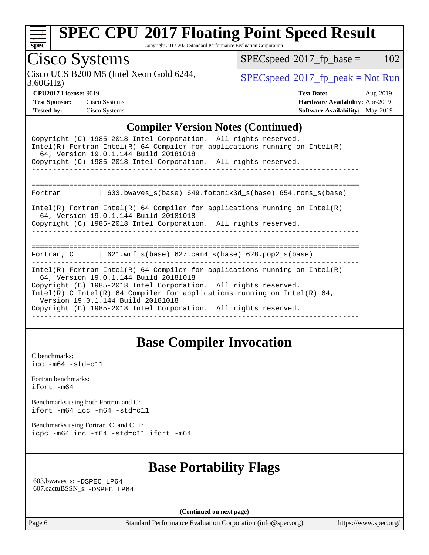

Copyright 2017-2020 Standard Performance Evaluation Corporation

# Cisco Systems

Cisco UCS B200 M5 (Intel Xeon Gold 6244,  $SPECspeed^{\circ}2017\_fp\_peak = Not Run$  $SPECspeed^{\circ}2017\_fp\_peak = Not Run$ 

 $SPECspeed^{\circledcirc}2017_fp\_base = 102$  $SPECspeed^{\circledcirc}2017_fp\_base = 102$ 

3.60GHz)

**[Tested by:](http://www.spec.org/auto/cpu2017/Docs/result-fields.html#Testedby)** Cisco Systems **[Software Availability:](http://www.spec.org/auto/cpu2017/Docs/result-fields.html#SoftwareAvailability)** May-2019

**[CPU2017 License:](http://www.spec.org/auto/cpu2017/Docs/result-fields.html#CPU2017License)** 9019 **[Test Date:](http://www.spec.org/auto/cpu2017/Docs/result-fields.html#TestDate)** Aug-2019 **[Test Sponsor:](http://www.spec.org/auto/cpu2017/Docs/result-fields.html#TestSponsor)** Cisco Systems **[Hardware Availability:](http://www.spec.org/auto/cpu2017/Docs/result-fields.html#HardwareAvailability)** Apr-2019

### **[Compiler Version Notes \(Continued\)](http://www.spec.org/auto/cpu2017/Docs/result-fields.html#CompilerVersionNotes)**

|                                                                                                                                                                                                                                                                                                                                                                            | Copyright (C) 1985-2018 Intel Corporation. All rights reserved.<br>$Intel(R)$ Fortran Intel(R) 64 Compiler for applications running on Intel(R)<br>64, Version 19.0.1.144 Build 20181018<br>Copyright (C) 1985-2018 Intel Corporation. All rights reserved. |  |  |  |  |  |
|----------------------------------------------------------------------------------------------------------------------------------------------------------------------------------------------------------------------------------------------------------------------------------------------------------------------------------------------------------------------------|-------------------------------------------------------------------------------------------------------------------------------------------------------------------------------------------------------------------------------------------------------------|--|--|--|--|--|
| Fortran                                                                                                                                                                                                                                                                                                                                                                    | $603.bwaves_s(base) 649.fotonik3d_s(base) 654.roms_s(base)$                                                                                                                                                                                                 |  |  |  |  |  |
|                                                                                                                                                                                                                                                                                                                                                                            | Intel(R) Fortran Intel(R) 64 Compiler for applications running on Intel(R)<br>64, Version 19.0.1.144 Build 20181018<br>Copyright (C) 1985-2018 Intel Corporation. All rights reserved.                                                                      |  |  |  |  |  |
|                                                                                                                                                                                                                                                                                                                                                                            | Fortran, $C = \{621. \text{wrf s}(\text{base}) \}$ 627. cam4 s(base) 628. pop2 s(base)                                                                                                                                                                      |  |  |  |  |  |
| Intel(R) Fortran Intel(R) 64 Compiler for applications running on Intel(R)<br>64, Version 19.0.1.144 Build 20181018<br>Copyright (C) 1985-2018 Intel Corporation. All rights reserved.<br>Intel(R) C Intel(R) 64 Compiler for applications running on Intel(R) 64,<br>Version 19.0.1.144 Build 20181018<br>Copyright (C) 1985-2018 Intel Corporation. All rights reserved. |                                                                                                                                                                                                                                                             |  |  |  |  |  |

## **[Base Compiler Invocation](http://www.spec.org/auto/cpu2017/Docs/result-fields.html#BaseCompilerInvocation)**

[C benchmarks](http://www.spec.org/auto/cpu2017/Docs/result-fields.html#Cbenchmarks): [icc -m64 -std=c11](http://www.spec.org/cpu2017/results/res2019q3/cpu2017-20190820-17211.flags.html#user_CCbase_intel_icc_64bit_c11_33ee0cdaae7deeeab2a9725423ba97205ce30f63b9926c2519791662299b76a0318f32ddfffdc46587804de3178b4f9328c46fa7c2b0cd779d7a61945c91cd35)

[Fortran benchmarks](http://www.spec.org/auto/cpu2017/Docs/result-fields.html#Fortranbenchmarks): [ifort -m64](http://www.spec.org/cpu2017/results/res2019q3/cpu2017-20190820-17211.flags.html#user_FCbase_intel_ifort_64bit_24f2bb282fbaeffd6157abe4f878425411749daecae9a33200eee2bee2fe76f3b89351d69a8130dd5949958ce389cf37ff59a95e7a40d588e8d3a57e0c3fd751)

[Benchmarks using both Fortran and C](http://www.spec.org/auto/cpu2017/Docs/result-fields.html#BenchmarksusingbothFortranandC): [ifort -m64](http://www.spec.org/cpu2017/results/res2019q3/cpu2017-20190820-17211.flags.html#user_CC_FCbase_intel_ifort_64bit_24f2bb282fbaeffd6157abe4f878425411749daecae9a33200eee2bee2fe76f3b89351d69a8130dd5949958ce389cf37ff59a95e7a40d588e8d3a57e0c3fd751) [icc -m64 -std=c11](http://www.spec.org/cpu2017/results/res2019q3/cpu2017-20190820-17211.flags.html#user_CC_FCbase_intel_icc_64bit_c11_33ee0cdaae7deeeab2a9725423ba97205ce30f63b9926c2519791662299b76a0318f32ddfffdc46587804de3178b4f9328c46fa7c2b0cd779d7a61945c91cd35)

[Benchmarks using Fortran, C, and C++:](http://www.spec.org/auto/cpu2017/Docs/result-fields.html#BenchmarksusingFortranCandCXX) [icpc -m64](http://www.spec.org/cpu2017/results/res2019q3/cpu2017-20190820-17211.flags.html#user_CC_CXX_FCbase_intel_icpc_64bit_4ecb2543ae3f1412ef961e0650ca070fec7b7afdcd6ed48761b84423119d1bf6bdf5cad15b44d48e7256388bc77273b966e5eb805aefd121eb22e9299b2ec9d9) [icc -m64 -std=c11](http://www.spec.org/cpu2017/results/res2019q3/cpu2017-20190820-17211.flags.html#user_CC_CXX_FCbase_intel_icc_64bit_c11_33ee0cdaae7deeeab2a9725423ba97205ce30f63b9926c2519791662299b76a0318f32ddfffdc46587804de3178b4f9328c46fa7c2b0cd779d7a61945c91cd35) [ifort -m64](http://www.spec.org/cpu2017/results/res2019q3/cpu2017-20190820-17211.flags.html#user_CC_CXX_FCbase_intel_ifort_64bit_24f2bb282fbaeffd6157abe4f878425411749daecae9a33200eee2bee2fe76f3b89351d69a8130dd5949958ce389cf37ff59a95e7a40d588e8d3a57e0c3fd751)

## **[Base Portability Flags](http://www.spec.org/auto/cpu2017/Docs/result-fields.html#BasePortabilityFlags)**

 603.bwaves\_s: [-DSPEC\\_LP64](http://www.spec.org/cpu2017/results/res2019q3/cpu2017-20190820-17211.flags.html#suite_basePORTABILITY603_bwaves_s_DSPEC_LP64) 607.cactuBSSN\_s: [-DSPEC\\_LP64](http://www.spec.org/cpu2017/results/res2019q3/cpu2017-20190820-17211.flags.html#suite_basePORTABILITY607_cactuBSSN_s_DSPEC_LP64)

**(Continued on next page)**

Page 6 Standard Performance Evaluation Corporation [\(info@spec.org\)](mailto:info@spec.org) <https://www.spec.org/>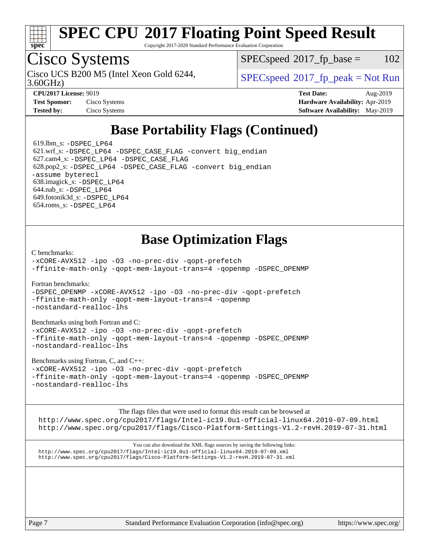

Copyright 2017-2020 Standard Performance Evaluation Corporation

## Cisco Systems

3.60GHz) Cisco UCS B200 M5 (Intel Xeon Gold 6244,  $SPECspeed^{\circ}2017\_fp\_peak = Not Run$  $SPECspeed^{\circ}2017\_fp\_peak = Not Run$ 

 $SPEC speed^{\circ}2017$  fp base = 102

| $CI Q = 1 / LICUSC. 7017$ |               |
|---------------------------|---------------|
| <b>Test Sponsor:</b>      | Cisco Systems |
| Tested hv.                | Cisco Systems |

**[CPU2017 License:](http://www.spec.org/auto/cpu2017/Docs/result-fields.html#CPU2017License)** 9019 **[Test Date:](http://www.spec.org/auto/cpu2017/Docs/result-fields.html#TestDate)** Aug-2019 **[Hardware Availability:](http://www.spec.org/auto/cpu2017/Docs/result-fields.html#HardwareAvailability)** Apr-2019 **[Tested by:](http://www.spec.org/auto/cpu2017/Docs/result-fields.html#Testedby)** Cisco Systems **[Software Availability:](http://www.spec.org/auto/cpu2017/Docs/result-fields.html#SoftwareAvailability)** May-2019

## **[Base Portability Flags \(Continued\)](http://www.spec.org/auto/cpu2017/Docs/result-fields.html#BasePortabilityFlags)**

619.1bm  $s: -DSPEC$  LP64 621.wrf\_s: [-DSPEC\\_LP64](http://www.spec.org/cpu2017/results/res2019q3/cpu2017-20190820-17211.flags.html#suite_basePORTABILITY621_wrf_s_DSPEC_LP64) [-DSPEC\\_CASE\\_FLAG](http://www.spec.org/cpu2017/results/res2019q3/cpu2017-20190820-17211.flags.html#b621.wrf_s_baseCPORTABILITY_DSPEC_CASE_FLAG) [-convert big\\_endian](http://www.spec.org/cpu2017/results/res2019q3/cpu2017-20190820-17211.flags.html#user_baseFPORTABILITY621_wrf_s_convert_big_endian_c3194028bc08c63ac5d04de18c48ce6d347e4e562e8892b8bdbdc0214820426deb8554edfa529a3fb25a586e65a3d812c835984020483e7e73212c4d31a38223) 627.cam4\_s: [-DSPEC\\_LP64](http://www.spec.org/cpu2017/results/res2019q3/cpu2017-20190820-17211.flags.html#suite_basePORTABILITY627_cam4_s_DSPEC_LP64) [-DSPEC\\_CASE\\_FLAG](http://www.spec.org/cpu2017/results/res2019q3/cpu2017-20190820-17211.flags.html#b627.cam4_s_baseCPORTABILITY_DSPEC_CASE_FLAG) 628.pop2\_s: [-DSPEC\\_LP64](http://www.spec.org/cpu2017/results/res2019q3/cpu2017-20190820-17211.flags.html#suite_basePORTABILITY628_pop2_s_DSPEC_LP64) [-DSPEC\\_CASE\\_FLAG](http://www.spec.org/cpu2017/results/res2019q3/cpu2017-20190820-17211.flags.html#b628.pop2_s_baseCPORTABILITY_DSPEC_CASE_FLAG) [-convert big\\_endian](http://www.spec.org/cpu2017/results/res2019q3/cpu2017-20190820-17211.flags.html#user_baseFPORTABILITY628_pop2_s_convert_big_endian_c3194028bc08c63ac5d04de18c48ce6d347e4e562e8892b8bdbdc0214820426deb8554edfa529a3fb25a586e65a3d812c835984020483e7e73212c4d31a38223) [-assume byterecl](http://www.spec.org/cpu2017/results/res2019q3/cpu2017-20190820-17211.flags.html#user_baseFPORTABILITY628_pop2_s_assume_byterecl_7e47d18b9513cf18525430bbf0f2177aa9bf368bc7a059c09b2c06a34b53bd3447c950d3f8d6c70e3faf3a05c8557d66a5798b567902e8849adc142926523472) 638.imagick\_s: [-DSPEC\\_LP64](http://www.spec.org/cpu2017/results/res2019q3/cpu2017-20190820-17211.flags.html#suite_basePORTABILITY638_imagick_s_DSPEC_LP64) 644.nab\_s: [-DSPEC\\_LP64](http://www.spec.org/cpu2017/results/res2019q3/cpu2017-20190820-17211.flags.html#suite_basePORTABILITY644_nab_s_DSPEC_LP64) 649.fotonik3d\_s: [-DSPEC\\_LP64](http://www.spec.org/cpu2017/results/res2019q3/cpu2017-20190820-17211.flags.html#suite_basePORTABILITY649_fotonik3d_s_DSPEC_LP64) 654.roms\_s: [-DSPEC\\_LP64](http://www.spec.org/cpu2017/results/res2019q3/cpu2017-20190820-17211.flags.html#suite_basePORTABILITY654_roms_s_DSPEC_LP64)

## **[Base Optimization Flags](http://www.spec.org/auto/cpu2017/Docs/result-fields.html#BaseOptimizationFlags)**

[C benchmarks](http://www.spec.org/auto/cpu2017/Docs/result-fields.html#Cbenchmarks):

[-xCORE-AVX512](http://www.spec.org/cpu2017/results/res2019q3/cpu2017-20190820-17211.flags.html#user_CCbase_f-xCORE-AVX512) [-ipo](http://www.spec.org/cpu2017/results/res2019q3/cpu2017-20190820-17211.flags.html#user_CCbase_f-ipo) [-O3](http://www.spec.org/cpu2017/results/res2019q3/cpu2017-20190820-17211.flags.html#user_CCbase_f-O3) [-no-prec-div](http://www.spec.org/cpu2017/results/res2019q3/cpu2017-20190820-17211.flags.html#user_CCbase_f-no-prec-div) [-qopt-prefetch](http://www.spec.org/cpu2017/results/res2019q3/cpu2017-20190820-17211.flags.html#user_CCbase_f-qopt-prefetch) [-ffinite-math-only](http://www.spec.org/cpu2017/results/res2019q3/cpu2017-20190820-17211.flags.html#user_CCbase_f_finite_math_only_cb91587bd2077682c4b38af759c288ed7c732db004271a9512da14a4f8007909a5f1427ecbf1a0fb78ff2a814402c6114ac565ca162485bbcae155b5e4258871) [-qopt-mem-layout-trans=4](http://www.spec.org/cpu2017/results/res2019q3/cpu2017-20190820-17211.flags.html#user_CCbase_f-qopt-mem-layout-trans_fa39e755916c150a61361b7846f310bcdf6f04e385ef281cadf3647acec3f0ae266d1a1d22d972a7087a248fd4e6ca390a3634700869573d231a252c784941a8) [-qopenmp](http://www.spec.org/cpu2017/results/res2019q3/cpu2017-20190820-17211.flags.html#user_CCbase_qopenmp_16be0c44f24f464004c6784a7acb94aca937f053568ce72f94b139a11c7c168634a55f6653758ddd83bcf7b8463e8028bb0b48b77bcddc6b78d5d95bb1df2967) [-DSPEC\\_OPENMP](http://www.spec.org/cpu2017/results/res2019q3/cpu2017-20190820-17211.flags.html#suite_CCbase_DSPEC_OPENMP)

[Fortran benchmarks](http://www.spec.org/auto/cpu2017/Docs/result-fields.html#Fortranbenchmarks):

[-DSPEC\\_OPENMP](http://www.spec.org/cpu2017/results/res2019q3/cpu2017-20190820-17211.flags.html#suite_FCbase_DSPEC_OPENMP) [-xCORE-AVX512](http://www.spec.org/cpu2017/results/res2019q3/cpu2017-20190820-17211.flags.html#user_FCbase_f-xCORE-AVX512) [-ipo](http://www.spec.org/cpu2017/results/res2019q3/cpu2017-20190820-17211.flags.html#user_FCbase_f-ipo) [-O3](http://www.spec.org/cpu2017/results/res2019q3/cpu2017-20190820-17211.flags.html#user_FCbase_f-O3) [-no-prec-div](http://www.spec.org/cpu2017/results/res2019q3/cpu2017-20190820-17211.flags.html#user_FCbase_f-no-prec-div) [-qopt-prefetch](http://www.spec.org/cpu2017/results/res2019q3/cpu2017-20190820-17211.flags.html#user_FCbase_f-qopt-prefetch) [-ffinite-math-only](http://www.spec.org/cpu2017/results/res2019q3/cpu2017-20190820-17211.flags.html#user_FCbase_f_finite_math_only_cb91587bd2077682c4b38af759c288ed7c732db004271a9512da14a4f8007909a5f1427ecbf1a0fb78ff2a814402c6114ac565ca162485bbcae155b5e4258871) [-qopt-mem-layout-trans=4](http://www.spec.org/cpu2017/results/res2019q3/cpu2017-20190820-17211.flags.html#user_FCbase_f-qopt-mem-layout-trans_fa39e755916c150a61361b7846f310bcdf6f04e385ef281cadf3647acec3f0ae266d1a1d22d972a7087a248fd4e6ca390a3634700869573d231a252c784941a8) [-qopenmp](http://www.spec.org/cpu2017/results/res2019q3/cpu2017-20190820-17211.flags.html#user_FCbase_qopenmp_16be0c44f24f464004c6784a7acb94aca937f053568ce72f94b139a11c7c168634a55f6653758ddd83bcf7b8463e8028bb0b48b77bcddc6b78d5d95bb1df2967) [-nostandard-realloc-lhs](http://www.spec.org/cpu2017/results/res2019q3/cpu2017-20190820-17211.flags.html#user_FCbase_f_2003_std_realloc_82b4557e90729c0f113870c07e44d33d6f5a304b4f63d4c15d2d0f1fab99f5daaed73bdb9275d9ae411527f28b936061aa8b9c8f2d63842963b95c9dd6426b8a)

[Benchmarks using both Fortran and C](http://www.spec.org/auto/cpu2017/Docs/result-fields.html#BenchmarksusingbothFortranandC):

[-xCORE-AVX512](http://www.spec.org/cpu2017/results/res2019q3/cpu2017-20190820-17211.flags.html#user_CC_FCbase_f-xCORE-AVX512) [-ipo](http://www.spec.org/cpu2017/results/res2019q3/cpu2017-20190820-17211.flags.html#user_CC_FCbase_f-ipo) -03 [-no-prec-div](http://www.spec.org/cpu2017/results/res2019q3/cpu2017-20190820-17211.flags.html#user_CC_FCbase_f-no-prec-div) [-qopt-prefetch](http://www.spec.org/cpu2017/results/res2019q3/cpu2017-20190820-17211.flags.html#user_CC_FCbase_f-qopt-prefetch) [-ffinite-math-only](http://www.spec.org/cpu2017/results/res2019q3/cpu2017-20190820-17211.flags.html#user_CC_FCbase_f_finite_math_only_cb91587bd2077682c4b38af759c288ed7c732db004271a9512da14a4f8007909a5f1427ecbf1a0fb78ff2a814402c6114ac565ca162485bbcae155b5e4258871) [-qopt-mem-layout-trans=4](http://www.spec.org/cpu2017/results/res2019q3/cpu2017-20190820-17211.flags.html#user_CC_FCbase_f-qopt-mem-layout-trans_fa39e755916c150a61361b7846f310bcdf6f04e385ef281cadf3647acec3f0ae266d1a1d22d972a7087a248fd4e6ca390a3634700869573d231a252c784941a8) [-qopenmp](http://www.spec.org/cpu2017/results/res2019q3/cpu2017-20190820-17211.flags.html#user_CC_FCbase_qopenmp_16be0c44f24f464004c6784a7acb94aca937f053568ce72f94b139a11c7c168634a55f6653758ddd83bcf7b8463e8028bb0b48b77bcddc6b78d5d95bb1df2967) [-DSPEC\\_OPENMP](http://www.spec.org/cpu2017/results/res2019q3/cpu2017-20190820-17211.flags.html#suite_CC_FCbase_DSPEC_OPENMP) [-nostandard-realloc-lhs](http://www.spec.org/cpu2017/results/res2019q3/cpu2017-20190820-17211.flags.html#user_CC_FCbase_f_2003_std_realloc_82b4557e90729c0f113870c07e44d33d6f5a304b4f63d4c15d2d0f1fab99f5daaed73bdb9275d9ae411527f28b936061aa8b9c8f2d63842963b95c9dd6426b8a)

[Benchmarks using Fortran, C, and C++:](http://www.spec.org/auto/cpu2017/Docs/result-fields.html#BenchmarksusingFortranCandCXX)

[-xCORE-AVX512](http://www.spec.org/cpu2017/results/res2019q3/cpu2017-20190820-17211.flags.html#user_CC_CXX_FCbase_f-xCORE-AVX512) [-ipo](http://www.spec.org/cpu2017/results/res2019q3/cpu2017-20190820-17211.flags.html#user_CC_CXX_FCbase_f-ipo) [-O3](http://www.spec.org/cpu2017/results/res2019q3/cpu2017-20190820-17211.flags.html#user_CC_CXX_FCbase_f-O3) [-no-prec-div](http://www.spec.org/cpu2017/results/res2019q3/cpu2017-20190820-17211.flags.html#user_CC_CXX_FCbase_f-no-prec-div) [-qopt-prefetch](http://www.spec.org/cpu2017/results/res2019q3/cpu2017-20190820-17211.flags.html#user_CC_CXX_FCbase_f-qopt-prefetch) [-ffinite-math-only](http://www.spec.org/cpu2017/results/res2019q3/cpu2017-20190820-17211.flags.html#user_CC_CXX_FCbase_f_finite_math_only_cb91587bd2077682c4b38af759c288ed7c732db004271a9512da14a4f8007909a5f1427ecbf1a0fb78ff2a814402c6114ac565ca162485bbcae155b5e4258871) [-qopt-mem-layout-trans=4](http://www.spec.org/cpu2017/results/res2019q3/cpu2017-20190820-17211.flags.html#user_CC_CXX_FCbase_f-qopt-mem-layout-trans_fa39e755916c150a61361b7846f310bcdf6f04e385ef281cadf3647acec3f0ae266d1a1d22d972a7087a248fd4e6ca390a3634700869573d231a252c784941a8) [-qopenmp](http://www.spec.org/cpu2017/results/res2019q3/cpu2017-20190820-17211.flags.html#user_CC_CXX_FCbase_qopenmp_16be0c44f24f464004c6784a7acb94aca937f053568ce72f94b139a11c7c168634a55f6653758ddd83bcf7b8463e8028bb0b48b77bcddc6b78d5d95bb1df2967) [-DSPEC\\_OPENMP](http://www.spec.org/cpu2017/results/res2019q3/cpu2017-20190820-17211.flags.html#suite_CC_CXX_FCbase_DSPEC_OPENMP) [-nostandard-realloc-lhs](http://www.spec.org/cpu2017/results/res2019q3/cpu2017-20190820-17211.flags.html#user_CC_CXX_FCbase_f_2003_std_realloc_82b4557e90729c0f113870c07e44d33d6f5a304b4f63d4c15d2d0f1fab99f5daaed73bdb9275d9ae411527f28b936061aa8b9c8f2d63842963b95c9dd6426b8a)

[The flags files that were used to format this result can be browsed at](tmsearch) <http://www.spec.org/cpu2017/flags/Intel-ic19.0u1-official-linux64.2019-07-09.html> <http://www.spec.org/cpu2017/flags/Cisco-Platform-Settings-V1.2-revH.2019-07-31.html>

[You can also download the XML flags sources by saving the following links:](tmsearch) <http://www.spec.org/cpu2017/flags/Intel-ic19.0u1-official-linux64.2019-07-09.xml> <http://www.spec.org/cpu2017/flags/Cisco-Platform-Settings-V1.2-revH.2019-07-31.xml>